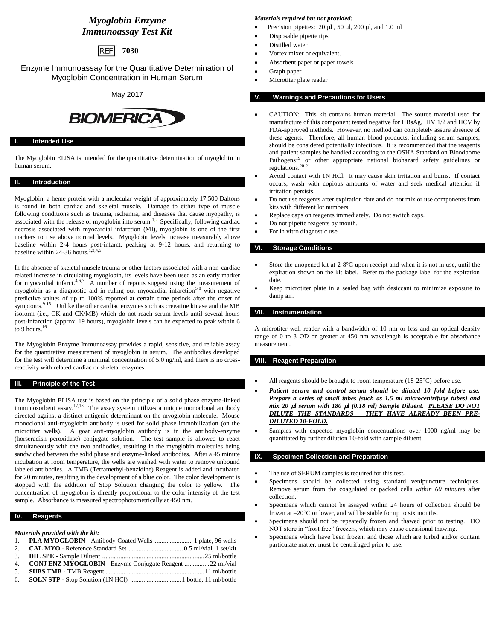# *Myoglobin Enzyme Immunoassay Test Kit*

**REFI 7030**

Enzyme Immunoassay for the Quantitative Determination of Myoglobin Concentration in Human Serum

May 2017

# **BIOMERICA**

# **I. Intended Use**

The Myoglobin ELISA is intended for the quantitative determination of myoglobin in human serum.

# **II. Introduction**

Myoglobin, a heme protein with a molecular weight of approximately 17,500 Daltons is found in both cardiac and skeletal muscle. Damage to either type of muscle following conditions such as trauma, ischemia, and diseases that cause myopathy, is associated with the release of myoglobin into serum.<sup>1,2</sup> Specifically, following cardiac necrosis associated with myocardial infarction (MI), myoglobin is one of the first markers to rise above normal levels. Myoglobin levels increase measurably above baseline within 2-4 hours post-infarct, peaking at 9-12 hours, and returning to baseline within 24-36 hours.<sup>1,3,4,5</sup>

In the absence of skeletal muscle trauma or other factors associated with a non-cardiac related increase in circulating myoglobin, its levels have been used as an early marker for myocardial infarct.<sup>4,6,7</sup> A number of reports suggest using the measurement of myoglobin as a diagnostic aid in ruling out myocardial infarction<sup>5,8</sup> with negative predictive values of up to 100% reported at certain time periods after the onset of symptoms.<sup>9-15</sup> Unlike the other cardiac enzymes such as creeatine kinase and the MB isoform (i.e., CK and CK/MB) which do not reach serum levels until several hours post-infarction (approx. 19 hours), myoglobin levels can be expected to peak within 6 to 9 hours. $16$ 

The Myoglobin Enzyme Immunoassay provides a rapid, sensitive, and reliable assay for the quantitative measurement of myoglobin in serum. The antibodies developed for the test will determine a minimal concentration of 5.0 ng/ml, and there is no crossreactivity with related cardiac or skeletal enzymes.

#### **III. Principle of the Test**

The Myoglobin ELISA test is based on the principle of a solid phase enzyme-linked immunosorbent assay.<sup>17,18</sup> The assay system utilizes a unique monoclonal antibody directed against a distinct antigenic determinant on the myoglobin molecule. Mouse monoclonal anti-myoglobin antibody is used for solid phase immobilization (on the microtiter wells). A goat anti-myoglobin antibody is in the antibody-enzyme (horseradish peroxidase) conjugate solution. The test sample is allowed to react simultaneously with the two antibodies, resulting in the myoglobin molecules being sandwiched between the solid phase and enzyme-linked antibodies. After a 45 minute incubation at room temperature, the wells are washed with water to remove unbound labeled antibodies. A TMB (Tetramethyl-benzidine) Reagent is added and incubated for 20 minutes, resulting in the development of a blue color. The color development is stopped with the addition of Stop Solution changing the color to yellow. The concentration of myoglobin is directly proportional to the color intensity of the test sample. Absorbance is measured spectrophotometrically at 450 nm.

#### **IV. Reagents**

*Materials provided with the kit:*

| 1. PLA MYOGLOBIN - Antibody-Coated Wells  1 plate, 96 wells |  |
|-------------------------------------------------------------|--|
|                                                             |  |
|                                                             |  |
| 4. CONJ ENZ MYOGLOBIN - Enzyme Conjugate Reagent 22 ml/vial |  |
|                                                             |  |
|                                                             |  |

#### *Materials required but not provided:*

- Precision pipettes:  $20 \mu l$ ,  $50 \mu l$ ,  $200 \mu l$ , and  $1.0 \mu l$
- Disposable pipette tips
- Distilled water
- Vortex mixer or equivalent.
- Absorbent paper or paper towels
- Graph paper
- Microtiter plate reader

# **V. Warnings and Precautions for Users**

- CAUTION: This kit contains human material. The source material used for manufacture of this component tested negative for HBsAg, HIV 1/2 and HCV by FDA-approved methods. However, no method can completely assure absence of these agents. Therefore, all human blood products, including serum samples, should be considered potentially infectious. It is recommended that the reagents and patient samples be handled according to the OSHA Standard on Bloodborne Pathogens<sup>19</sup> or other appropriate national biohazard safety guidelines or regulations.20-21
- Avoid contact with 1N HCl. It may cause skin irritation and burns. If contact occurs, wash with copious amounts of water and seek medical attention if irritation persists.
- Do not use reagents after expiration date and do not mix or use components from kits with different lot numbers.
- Replace caps on reagents immediately. Do not switch caps.
- Do not pipette reagents by mouth.
- For in vitro diagnostic use.

# **VI. Storage Conditions**

- Store the unopened kit at 2-8°C upon receipt and when it is not in use, until the expiration shown on the kit label. Refer to the package label for the expiration date.
- Keep microtiter plate in a sealed bag with desiccant to minimize exposure to damp air.

#### **VII. Instrumentation**

A microtiter well reader with a bandwidth of 10 nm or less and an optical density range of 0 to 3 OD or greater at 450 nm wavelength is acceptable for absorbance measurement.

#### **VIII. Reagent Preparation**

- All reagents should be brought to room temperature  $(18-25^{\circ}\text{C})$  before use.
- *Patient serum and control serum should be diluted 10 fold before use. Prepare a series of small tubes (such as 1.5 ml microcentrifuge tubes) and mix 20*  $\mu$  *serum with 180*  $\mu$  *(0.18 ml) Sample Diluent. PLEASE DO NOT DILUTE THE STANDARDS – THEY HAVE ALREADY BEEN PRE-DILUTED 10-FOLD.*
- Samples with expected myoglobin concentrations over 1000 ng/ml may be quantitated by further dilution 10-fold with sample diluent.

#### **IX. Specimen Collection and Preparation**

- The use of SERUM samples is required for this test.
- Specimens should be collected using standard venipuncture techniques. Remove serum from the coagulated or packed cells *within 60 minutes* after collection.
- Specimens which cannot be assayed within 24 hours of collection should be frozen at  $-20^{\circ}$ C or lower, and will be stable for up to six months.
- Specimens should not be repeatedly frozen and thawed prior to testing. DO NOT store in "frost free" freezers, which may cause occasional thawing.
- Specimens which have been frozen, and those which are turbid and/or contain particulate matter, must be centrifuged prior to use.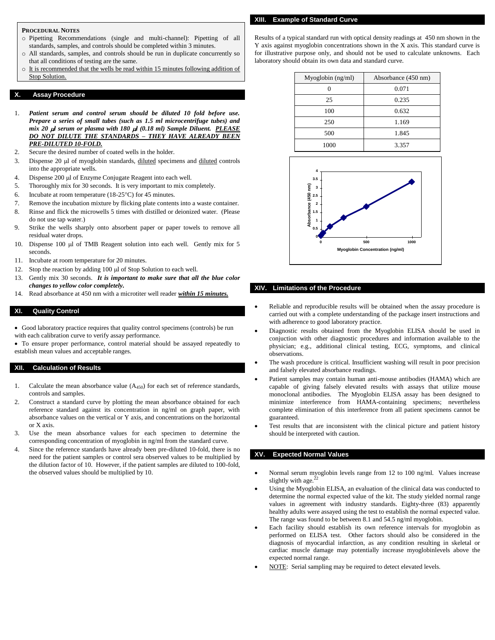### **PROCEDURAL NOTES**

- o Pipetting Recommendations (single and multi-channel): Pipetting of all standards, samples, and controls should be completed within 3 minutes.
- o All standards, samples, and controls should be run in duplicate concurrently so that all conditions of testing are the same.
- o It is recommended that the wells be read within 15 minutes following addition of Stop Solution.

#### **X. Assay Procedure**

- 1. *Patient serum and control serum should be diluted 10 fold before use. Prepare a series of small tubes (such as 1.5 ml microcentrifuge tubes) and mix 20*  $\mu$  *serum or plasma with 180*  $\mu$  *(0.18 ml) Sample Diluent. PLEASE DO NOT DILUTE THE STANDARDS – THEY HAVE ALREADY BEEN PRE-DILUTED 10-FOLD.*
- 2. Secure the desired number of coated wells in the holder.
- 3. Dispense 20 µl of myoglobin standards, diluted specimens and diluted controls into the appropriate wells.
- 4. Dispense 200 µl of Enzyme Conjugate Reagent into each well.
- 5. Thoroughly mix for 30 seconds. It is very important to mix completely.
- 6. Incubate at room temperature  $(18-25^{\circ}\text{C})$  for 45 minutes.
- 7. Remove the incubation mixture by flicking plate contents into a waste container.
- 8. Rinse and flick the microwells 5 times with distilled or deionized water. (Please do not use tap water.)
- 9. Strike the wells sharply onto absorbent paper or paper towels to remove all residual water drops.
- 10. Dispense 100 µl of TMB Reagent solution into each well. Gently mix for 5 seconds.
- 11. Incubate at room temperature for 20 minutes.
- 12. Stop the reaction by adding 100 µl of Stop Solution to each well.
- 13. Gently mix 30 seconds. *It is important to make sure that all the blue color changes to yellow color completely.*
- 14. Read absorbance at 450 nm with a microtiter well reader *within 15 minutes.*

#### **XI. Quality Control**

 Good laboratory practice requires that quality control specimens (controls) be run with each calibration curve to verify assay performance.

 To ensure proper performance, control material should be assayed repeatedly to establish mean values and acceptable ranges.

#### **XII. Calculation of Results**

- 1. Calculate the mean absorbance value  $(A_{450})$  for each set of reference standards, controls and samples.
- 2. Construct a standard curve by plotting the mean absorbance obtained for each reference standard against its concentration in ng/ml on graph paper, with absorbance values on the vertical or Y axis, and concentrations on the horizontal or X axis.
- 3. Use the mean absorbance values for each specimen to determine the corresponding concentration of myoglobin in ng/ml from the standard curve.
- 4. Since the reference standards have already been pre-diluted 10-fold, there is no need for the patient samples or control sera observed values to be multiplied by the dilution factor of 10. However, if the patient samples are diluted to 100-fold, the observed values should be multiplied by 10.

Results of a typical standard run with optical density readings at 450 nm shown in the Y axis against myoglobin concentrations shown in the X axis. This standard curve is for illustrative purpose only, and should not be used to calculate unknowns. Each laboratory should obtain its own data and standard curve.

| Myoglobin $(ng/ml)$ | Absorbance (450 nm) |  |
|---------------------|---------------------|--|
|                     | 0.071               |  |
| 25                  | 0.235               |  |
| 100                 | 0.632               |  |
| 250                 | 1.169               |  |
| 500                 | 1.845               |  |
| 1000                | 3.357               |  |



#### **XIV. Limitations of the Procedure**

- Reliable and reproducible results will be obtained when the assay procedure is carried out with a complete understanding of the package insert instructions and with adherence to good laboratory practice.
- Diagnostic results obtained from the Myoglobin ELISA should be used in conjuction with other diagnostic procedures and information available to the physician; e.g., additional clinical testing, ECG, symptoms, and clinical observations.
- The wash procedure is critical. Insufficient washing will result in poor precision and falsely elevated absorbance readings.
- Patient samples may contain human anti-mouse antibodies (HAMA) which are capable of giving falsely elevated results with assays that utilize mouse monoclonal antibodies. The Myoglobin ELISA assay has been designed to minimize interference from HAMA-containing specimens; nevertheless complete elimination of this interference from all patient specimens cannot be guaranteed.
- Test results that are inconsistent with the clinical picture and patient history should be interpreted with caution.

#### **XV. Expected Normal Values**

- Normal serum myoglobin levels range from 12 to 100 ng/ml. Values increase slightly with age. $^{22}$
- Using the Myoglobin ELISA, an evaluation of the clinical data was conducted to determine the normal expected value of the kit. The study yielded normal range values in agreement with industry standards. Eighty-three (83) apparently healthy adults were assayed using the test to establish the normal expected value. The range was found to be between 8.1 and 54.5 ng/ml myoglobin.
- Each facility should establish its own reference intervals for myoglobin as performed on ELISA test. Other factors should also be considered in the diagnosis of myocardial infarction, as any condition resulting in skeletal or cardiac muscle damage may potentially increase myoglobinlevels above the expected normal range.
- NOTE: Serial sampling may be required to detect elevated levels.

**XIII. Example of Standard Curve**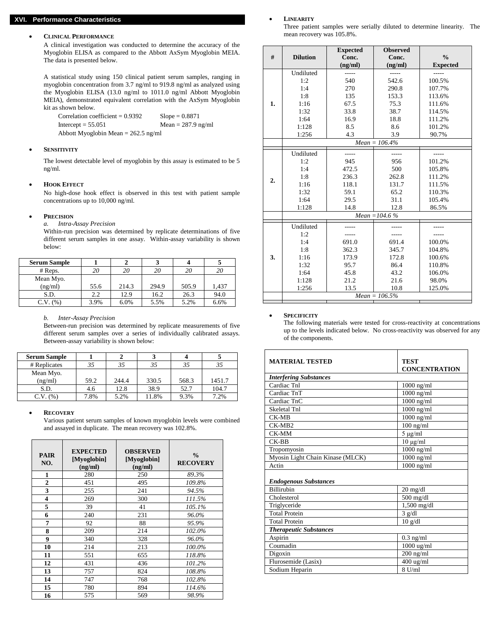# **XVI. Performance Characteristics**

#### **CLINICAL PERFORMANCE**

A clinical investigation was conducted to determine the accuracy of the Myoglobin ELISA as compared to the Abbott AxSym Myoglobin MEIA. The data is presented below.

A statistical study using 150 clinical patient serum samples, ranging in myoglobin concentration from 3.7 ng/ml to 919.8 ng/ml as analyzed using the Myoglobin ELISA (13.0 ng/ml to 1011.0 ng/ml Abbott Myoglobin MEIA), demonstrated equivalent correlation with the AxSym Myoglobin kit as shown below.

Correlation coefficient =  $0.9392$  Slope =  $0.8871$ Intercept =  $55.051$  Mean =  $287.9$  ng/ml Abbott Myoglobin Mean = 262.5 ng/ml

### **SENSITIVITY**

The lowest detectable level of myoglobin by this assay is estimated to be 5 ng/ml.

#### **HOOK EFFECT**

No high-dose hook effect is observed in this test with patient sample concentrations up to 10,000 ng/ml.

#### **PRECISION**

*a. Intra-Assay Precision*

Within-run precision was determined by replicate determinations of five different serum samples in one assay. Within-assay variability is shown below:

| <b>Serum Sample</b> |      |       |       |       |       |
|---------------------|------|-------|-------|-------|-------|
| $#$ Reps.           | 20   | 20    | 20    | 20    |       |
| Mean Myo.           |      |       |       |       |       |
| (ng/ml)             | 55.6 | 214.3 | 294.9 | 505.9 | 1,437 |
| S.D.                | 2.2  | 12.9  | 16.2  | 26.3  | 94.0  |
| $C.V.$ $(\%)$       | 3.9% | 6.0%  | 5.5%  | 5.2%  | 6.6%  |

#### *b. Inter-Assay Precision*

Between-run precision was determined by replicate measurements of five different serum samples over a series of individually calibrated assays. Between-assay variability is shown below:

| <b>Serum Sample</b> |      |       |       |       |        |
|---------------------|------|-------|-------|-------|--------|
| # Replicates        |      |       | 35    |       | 35     |
| Mean Myo.           |      |       |       |       |        |
| (ng/ml)             | 59.2 | 244.4 | 330.5 | 568.3 | 1451.7 |
| S.D.                | 4.6  | 12.8  | 38.9  | 52.7  | 104.7  |
| (96)<br>C.V.        | 7.8% | 5.2%  | 11.8% | 9.3%  | 7.2%   |

#### **RECOVERY**

Various patient serum samples of known myoglobin levels were combined and assayed in duplicate. The mean recovery was 102.8%.

| <b>PAIR</b><br>NO. | <b>EXPECTED</b><br>[Myoglobin]<br>(ng/ml) | <b>OBSERVED</b><br>[Myoglobin]<br>(ng/ml) | $\frac{0}{0}$<br><b>RECOVERY</b> |
|--------------------|-------------------------------------------|-------------------------------------------|----------------------------------|
| 1                  | 280                                       | 250                                       | 89.3%                            |
| $\overline{2}$     | 451                                       | 495                                       | 109.8%                           |
| 3                  | 255                                       | 241                                       | 94.5%                            |
| 4                  | 269                                       | 300                                       | 111.5%                           |
| 5                  | 39                                        | 41                                        | 105.1%                           |
| 6                  | 240                                       | 231                                       | 96.0%                            |
| 7                  | 92                                        | 88                                        | 95.9%                            |
| 8                  | 209                                       | 214                                       | 102.0%                           |
| 9                  | 340                                       | 328                                       | 96.0%                            |
| 10                 | 214                                       | 213                                       | 100.0%                           |
| 11                 | 551                                       | 655                                       | 118.8%                           |
| 12                 | 431                                       | 436                                       | 101.2%                           |
| 13                 | 757                                       | 824                                       | 108.8%                           |
| 14                 | 747                                       | 768                                       | 102.8%                           |
| 15                 | 780                                       | 894                                       | 114.6%                           |
| 16                 | 575                                       | 569                                       | 98.9%                            |

#### **LINEARITY**

Three patient samples were serially diluted to determine linearity. The mean recovery was 105.8%.

| #  | <b>Dilution</b>   | <b>Expected</b><br>Conc. | <b>Observed</b><br>Conc. | $\frac{0}{0}$   |  |
|----|-------------------|--------------------------|--------------------------|-----------------|--|
|    |                   | (ng/ml)                  | (ng/ml)                  | <b>Expected</b> |  |
|    | Undiluted         |                          |                          |                 |  |
|    | 1:2               | 540                      | 542.6                    | 100.5%          |  |
|    | 1:4               | 270                      | 290.8                    | 107.7%          |  |
|    | 1:8               | 135                      | 153.3                    | 113.6%          |  |
| 1. | 1:16              | 67.5                     | 75.3                     | 111.6%          |  |
|    | 1:32              | 33.8                     | 38.7                     | 114.5%          |  |
|    | 1:64              | 16.9                     | 18.8                     | 111.2%          |  |
|    | 1:128             | 8.5                      | 8.6                      | 101.2%          |  |
|    | 1:256             | 4.3                      | 3.9                      | 90.7%           |  |
|    | $Mean = 106.4%$   |                          |                          |                 |  |
|    | Undiluted         | -----                    | $---$                    | -----           |  |
|    | 1:2               | 945                      | 956                      | 101.2%          |  |
|    | 1:4               | 472.5                    | 500                      | 105.8%          |  |
|    | 1:8               | 236.3                    | 262.8                    | 111.2%          |  |
| 2. | 1:16              | 118.1                    | 131.7                    | 111.5%          |  |
|    | 1:32              | 59.1                     | 65.2                     | 110.3%          |  |
|    | 1:64              | 29.5                     | 31.1                     | 105.4%          |  |
|    | 1:128             | 14.8                     | 12.8                     | 86.5%           |  |
|    | Mean = $104.6 \%$ |                          |                          |                 |  |
|    | Undiluted         |                          |                          |                 |  |
|    | 1:2               | -----                    | -----                    |                 |  |
|    | 1:4               | 691.0                    | 691.4                    | 100.0%          |  |
|    | 1:8               | 362.3                    | 345.7                    | 104.8%          |  |
| 3. | 1:16              | 173.9                    | 172.8                    | 100.6%          |  |
|    | 1:32              | 95.7                     | 86.4                     | 110.8%          |  |
|    | 1:64              | 45.8                     | 43.2                     | 106.0%          |  |
|    | 1:128             | 21.2                     | 21.6                     | 98.0%           |  |
|    | 1:256             | 13.5                     | 10.8                     | 125.0%          |  |
|    | $Mean = 106.5\%$  |                          |                          |                 |  |
|    |                   |                          |                          |                 |  |

#### **SPECIFICITY**

The following materials were tested for cross-reactivity at concentrations up to the levels indicated below. No cross-reactivity was observed for any of the components.

| <b>MATERIAL TESTED</b>           | <b>TEST</b><br><b>CONCENTRATION</b> |  |  |  |  |
|----------------------------------|-------------------------------------|--|--|--|--|
| <b>Interfering Substances</b>    |                                     |  |  |  |  |
| Cardiac Tnl                      | $1000$ ng/ml                        |  |  |  |  |
| Cardiac TnT                      | $1000$ ng/ml                        |  |  |  |  |
| Cardiac TnC                      | $1000$ ng/ml                        |  |  |  |  |
| Skeletal Tnl                     | $1000$ ng/ml                        |  |  |  |  |
| $CK-MB$                          | $1000$ ng/ml                        |  |  |  |  |
| $CK-MR2$                         | $100$ ng/ml                         |  |  |  |  |
| $CK-MM$                          | $5 \mu g/ml$                        |  |  |  |  |
| $CK-BB$                          | $10 \mu g/ml$                       |  |  |  |  |
| Tropomyosin                      | $1000$ ng/ml                        |  |  |  |  |
| Myosin Light Chain Kinase (MLCK) | $1000$ ng/ml                        |  |  |  |  |
| Actin                            | $1000$ ng/ml                        |  |  |  |  |
| <b>Endogenous Substances</b>     |                                     |  |  |  |  |
| <b>Billirubin</b>                | $20 \text{ mg/dl}$                  |  |  |  |  |
| Cholesterol                      | 500 mg/dl                           |  |  |  |  |
| Triglyceride                     | $1,500$ mg/dl                       |  |  |  |  |
| <b>Total Protein</b>             | $3$ g/dl                            |  |  |  |  |
| <b>Total Protein</b>             | $10$ g/dl                           |  |  |  |  |
| <b>Therapeutic Substances</b>    |                                     |  |  |  |  |
| Aspirin                          | $0.3$ ng/ml                         |  |  |  |  |
| Coumadin                         | 1000 ug/ml                          |  |  |  |  |
| Digoxin                          | $200$ ng/ml                         |  |  |  |  |
| Flurosemide (Lasix)              | $400 \text{ ug/ml}$                 |  |  |  |  |
| Sodium Heparin                   | $8$ U/ml                            |  |  |  |  |